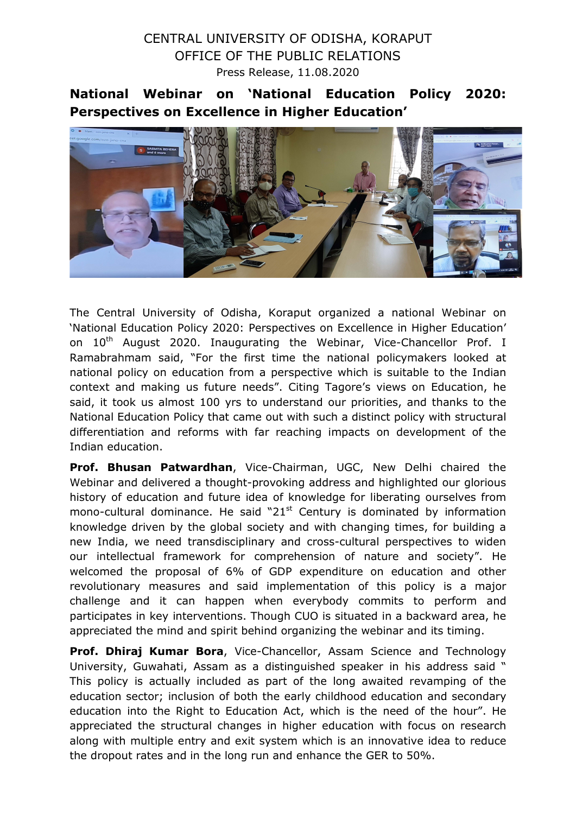## CENTRAL UNIVERSITY OF ODISHA, KORAPUT OFFICE OF THE PUBLIC RELATIONS Press Release, 11.08.2020

National Webinar on 'National Education Policy 2020: Perspectives on Excellence in Higher Education'



The Central University of Odisha, Koraput organized a national Webinar on 'National Education Policy 2020: Perspectives on Excellence in Higher Education' on 10<sup>th</sup> August 2020. Inaugurating the Webinar, Vice-Chancellor Prof. I Ramabrahmam said, "For the first time the national policymakers looked at national policy on education from a perspective which is suitable to the Indian context and making us future needs". Citing Tagore's views on Education, he said, it took us almost 100 yrs to understand our priorities, and thanks to the National Education Policy that came out with such a distinct policy with structural differentiation and reforms with far reaching impacts on development of the Indian education.

Prof. Bhusan Patwardhan, Vice-Chairman, UGC, New Delhi chaired the Webinar and delivered a thought-provoking address and highlighted our glorious history of education and future idea of knowledge for liberating ourselves from mono-cultural dominance. He said " $21<sup>st</sup>$  Century is dominated by information knowledge driven by the global society and with changing times, for building a new India, we need transdisciplinary and cross-cultural perspectives to widen our intellectual framework for comprehension of nature and society". He welcomed the proposal of 6% of GDP expenditure on education and other revolutionary measures and said implementation of this policy is a major challenge and it can happen when everybody commits to perform and participates in key interventions. Though CUO is situated in a backward area, he appreciated the mind and spirit behind organizing the webinar and its timing.

Prof. Dhiraj Kumar Bora, Vice-Chancellor, Assam Science and Technology University, Guwahati, Assam as a distinguished speaker in his address said " This policy is actually included as part of the long awaited revamping of the education sector; inclusion of both the early childhood education and secondary education into the Right to Education Act, which is the need of the hour". He appreciated the structural changes in higher education with focus on research along with multiple entry and exit system which is an innovative idea to reduce the dropout rates and in the long run and enhance the GER to 50%.